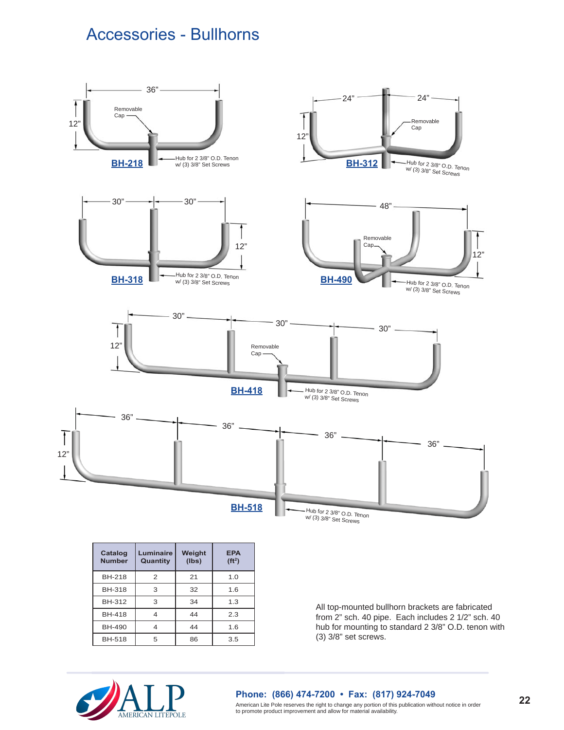## Accessories - Bullhorns



| Catalog<br><b>Number</b> | Luminaire<br>Quantity | Weight<br>(lbs) | <b>EPA</b><br>(ft <sup>2</sup> ) |
|--------------------------|-----------------------|-----------------|----------------------------------|
| <b>BH-218</b>            | 2                     | 21              | 1.0                              |
| <b>BH-318</b>            | 3                     | 32              | 1.6                              |
| <b>BH-312</b>            | 3                     | 34              | 1.3                              |
| <b>BH-418</b>            |                       | 44              | 2.3                              |
| <b>BH-490</b>            | 4                     | 44              | 1.6                              |
| <b>BH-518</b>            | 5                     | 86              | 3.5                              |

All top-mounted bullhorn brackets are fabricated from 2" sch. 40 pipe. Each includes 2 1/2" sch. 40 hub for mounting to standard 2 3/8" O.D. tenon with (3) 3/8" set screws.



## **Phone: (866) 474-7200 • Fax: (817) 924-7049**

American Lite Pole reserves the right to change any portion of this publication without notice in order to promote product improvement and allow for material availability.